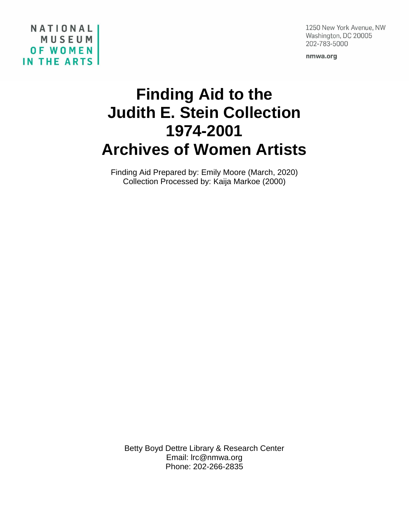#### 1250 New York Avenue, NW Washington, DC 20005 202-783-5000

nmwa.org

# **Finding Aid to the Judith E. Stein Collection 1974-2001 Archives of Women Artists**

NATIONAL

**OF WOMEN** 

IN THE ARTS

MUSEUM

Finding Aid Prepared by: Emily Moore (March, 2020) Collection Processed by: Kaija Markoe (2000)

Betty Boyd Dettre Library & Research Center Email: lrc@nmwa.org Phone: 202-266-2835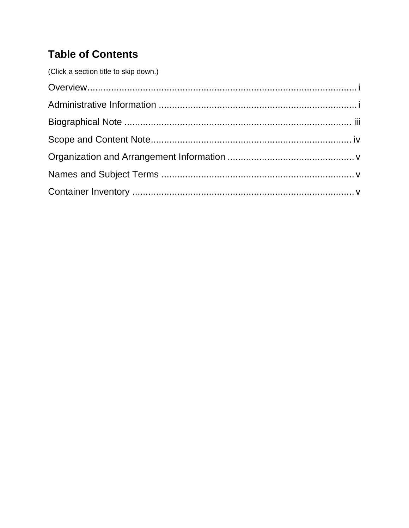# **Table of Contents**

| (Click a section title to skip down.) |  |
|---------------------------------------|--|
|                                       |  |
|                                       |  |
|                                       |  |
|                                       |  |
|                                       |  |
|                                       |  |
|                                       |  |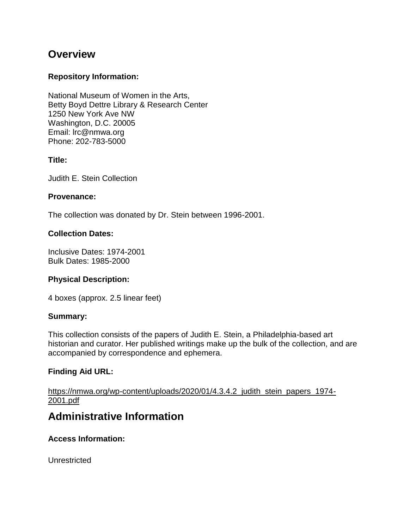# <span id="page-2-0"></span>**Overview**

#### **Repository Information:**

National Museum of Women in the Arts, Betty Boyd Dettre Library & Research Center 1250 New York Ave NW Washington, D.C. 20005 Email: lrc@nmwa.org Phone: 202-783-5000

#### **Title:**

Judith E. Stein Collection

#### **Provenance:**

The collection was donated by Dr. Stein between 1996-2001.

#### **Collection Dates:**

Inclusive Dates: 1974-2001 Bulk Dates: 1985-2000

#### **Physical Description:**

4 boxes (approx. 2.5 linear feet)

#### **Summary:**

This collection consists of the papers of Judith E. Stein, a Philadelphia-based art historian and curator. Her published writings make up the bulk of the collection, and are accompanied by correspondence and ephemera.

#### **Finding Aid URL:**

[https://nmwa.org/wp-content/uploads/2020/01/4.3.4.2\\_judith\\_stein\\_papers\\_1974-](https://nmwa.org/wp-content/uploads/2020/01/4.3.4.2_judith_stein_papers_1974-2001.pdf) [2001.pdf](https://nmwa.org/wp-content/uploads/2020/01/4.3.4.2_judith_stein_papers_1974-2001.pdf)

# <span id="page-2-1"></span>**Administrative Information**

#### **Access Information:**

**Unrestricted**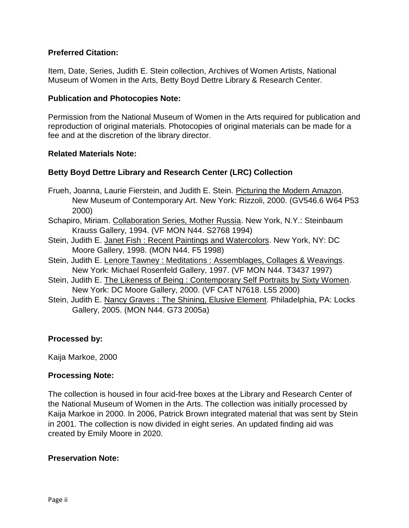#### **Preferred Citation:**

Item, Date, Series, Judith E. Stein collection, Archives of Women Artists, National Museum of Women in the Arts, Betty Boyd Dettre Library & Research Center.

#### **Publication and Photocopies Note:**

Permission from the National Museum of Women in the Arts required for publication and reproduction of original materials. Photocopies of original materials can be made for a fee and at the discretion of the library director.

#### **Related Materials Note:**

#### **Betty Boyd Dettre Library and Research Center (LRC) Collection**

- Frueh, Joanna, Laurie Fierstein, and Judith E. Stein. Picturing the Modern Amazon. New Museum of Contemporary Art. New York: Rizzoli, 2000. (GV546.6 W64 P53 2000)
- Schapiro, Miriam. Collaboration Series, Mother Russia. New York, N.Y.: Steinbaum Krauss Gallery, 1994. (VF MON N44. S2768 1994)
- Stein, Judith E. Janet Fish : Recent Paintings and Watercolors. New York, NY: DC Moore Gallery, 1998. (MON N44. F5 1998)
- Stein, Judith E. Lenore Tawney : Meditations : Assemblages, Collages & Weavings. New York: Michael Rosenfeld Gallery, 1997. (VF MON N44. T3437 1997)
- Stein, Judith E. The Likeness of Being: Contemporary Self Portraits by Sixty Women. New York: DC Moore Gallery, 2000. (VF CAT N7618. L55 2000)
- Stein, Judith E. Nancy Graves : The Shining, Elusive Element. Philadelphia, PA: Locks Gallery, 2005. (MON N44. G73 2005a)

#### **Processed by:**

Kaija Markoe, 2000

#### **Processing Note:**

The collection is housed in four acid-free boxes at the Library and Research Center of the National Museum of Women in the Arts. The collection was initially processed by Kaija Markoe in 2000. In 2006, Patrick Brown integrated material that was sent by Stein in 2001. The collection is now divided in eight series. An updated finding aid was created by Emily Moore in 2020.

#### **Preservation Note:**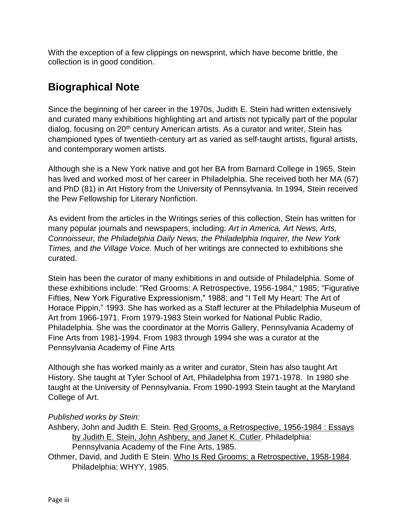With the exception of a few clippings on newsprint, which have become brittle, the collection is in good condition.

# <span id="page-4-0"></span>**Biographical Note**

Since the beginning of her career in the 1970s, Judith E. Stein had written extensively and curated many exhibitions highlighting art and artists not typically part of the popular dialog, focusing on 20<sup>th</sup> century American artists. As a curator and writer, Stein has championed types of twentieth-century art as varied as self-taught artists, figural artists, and contemporary women artists.

Although she is a New York native and got her BA from Barnard College in 1965, Stein has lived and worked most of her career in Philadelphia. She received both her MA (67) and PhD (81) in Art History from the University of Pennsylvania. In 1994, Stein received the Pew Fellowship for Literary Nonfiction.

As evident from the articles in the Writings series of this collection, Stein has written for many popular journals and newspapers, including: *Art in America, Art News, Arts, Connoisseur, the Philadelphia Daily News, the Philadelphia Inquirer, the New York Times,* and *the Village Voice.* Much of her writings are connected to exhibitions she curated.

Stein has been the curator of many exhibitions in and outside of Philadelphia. Some of these exhibitions include: "Red Grooms: A Retrospective, 1956-1984," 1985; "Figurative Fifties, New York Figurative Expressionism," 1988; and "I Tell My Heart: The Art of Horace Pippin," 1993. She has worked as a Staff lecturer at the Philadelphia Museum of Art from 1966-1971. From 1979-1983 Stein worked for National Public Radio, Philadelphia. She was the coordinator at the Morris Gallery, Pennsylvania Academy of Fine Arts from 1981-1994. From 1983 through 1994 she was a curator at the Pennsylvania Academy of Fine Arts

Although she has worked mainly as a writer and curator, Stein has also taught Art History. She taught at Tyler School of Art, Philadelphia from 1971-1978. In 1980 she taught at the University of Pennsylvania. From 1990-1993 Stein taught at the Maryland College of Art.

#### *Published works by Stein:*

Ashbery, John and Judith E. Stein. Red Grooms, a Retrospective, 1956-1984 : Essays by Judith E. Stein, John Ashbery, and Janet K. Cutler. Philadelphia:

Pennsylvania Academy of the Fine Arts, 1985.

Othmer, David, and Judith E Stein. Who Is Red Grooms: a Retrospective, 1958-1984. Philadelphia: WHYY, 1985.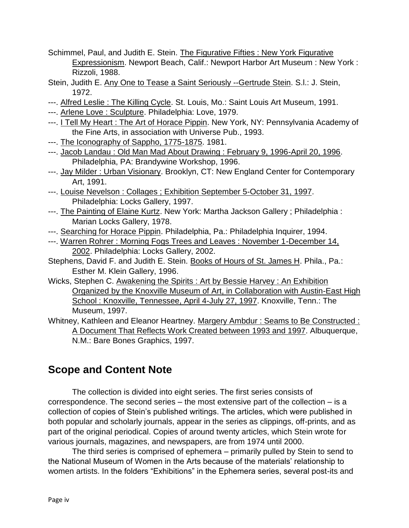- Schimmel, Paul, and Judith E. Stein. The Figurative Fifties : New York Figurative Expressionism. Newport Beach, Calif.: Newport Harbor Art Museum : New York : Rizzoli, 1988.
- Stein, Judith E. Any One to Tease a Saint Seriously --Gertrude Stein. S.l.: J. Stein, 1972.
- ---. Alfred Leslie: The Killing Cycle. St. Louis, Mo.: Saint Louis Art Museum, 1991.
- ---. Arlene Love : Sculpture. Philadelphia: Love, 1979.
- ---. I Tell My Heart : The Art of Horace Pippin. New York, NY: Pennsylvania Academy of the Fine Arts, in association with Universe Pub., 1993.
- ---. The Iconography of Sappho, 1775-1875. 1981.
- ---. Jacob Landau : Old Man Mad About Drawing : February 9, 1996-April 20, 1996. Philadelphia, PA: Brandywine Workshop, 1996.
- ---. Jay Milder : Urban Visionary. Brooklyn, CT: New England Center for Contemporary Art, 1991.
- ---. Louise Nevelson : Collages ; Exhibition September 5-October 31, 1997. Philadelphia: Locks Gallery, 1997.
- ---. The Painting of Elaine Kurtz. New York: Martha Jackson Gallery ; Philadelphia : Marian Locks Gallery, 1978.
- ---. Searching for Horace Pippin. Philadelphia, Pa.: Philadelphia Inquirer, 1994.
- ---. Warren Rohrer : Morning Fogs Trees and Leaves : November 1-December 14, 2002. Philadelphia: Locks Gallery, 2002.
- Stephens, David F. and Judith E. Stein. Books of Hours of St. James H. Phila., Pa.: Esther M. Klein Gallery, 1996.
- Wicks, Stephen C. Awakening the Spirits : Art by Bessie Harvey : An Exhibition Organized by the Knoxville Museum of Art, in Collaboration with Austin-East High School : Knoxville, Tennessee, April 4-July 27, 1997. Knoxville, Tenn.: The Museum, 1997.
- Whitney, Kathleen and Eleanor Heartney. Margery Ambdur : Seams to Be Constructed : A Document That Reflects Work Created between 1993 and 1997. Albuquerque, N.M.: Bare Bones Graphics, 1997.

# <span id="page-5-0"></span>**Scope and Content Note**

The collection is divided into eight series. The first series consists of correspondence. The second series – the most extensive part of the collection – is a collection of copies of Stein's published writings. The articles, which were published in both popular and scholarly journals, appear in the series as clippings, off-prints, and as part of the original periodical. Copies of around twenty articles, which Stein wrote for various journals, magazines, and newspapers, are from 1974 until 2000.

The third series is comprised of ephemera – primarily pulled by Stein to send to the National Museum of Women in the Arts because of the materials' relationship to women artists. In the folders "Exhibitions" in the Ephemera series, several post-its and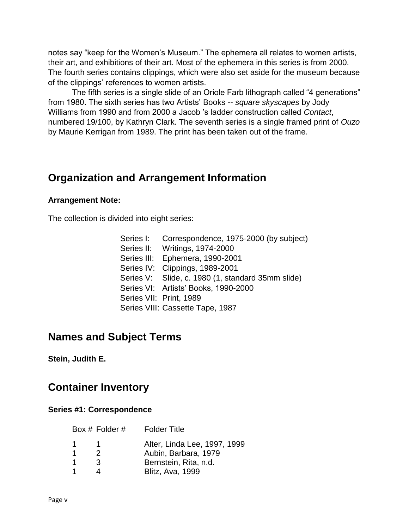notes say "keep for the Women's Museum." The ephemera all relates to women artists, their art, and exhibitions of their art. Most of the ephemera in this series is from 2000. The fourth series contains clippings, which were also set aside for the museum because of the clippings' references to women artists.

The fifth series is a single slide of an Oriole Farb lithograph called "4 generations" from 1980. The sixth series has two Artists' Books -- *square skyscapes* by Jody Williams from 1990 and from 2000 a Jacob 's ladder construction called *Contact*, numbered 19/100, by Kathryn Clark. The seventh series is a single framed print of *Ouzo* by Maurie Kerrigan from 1989. The print has been taken out of the frame.

# <span id="page-6-0"></span>**Organization and Arrangement Information**

#### **Arrangement Note:**

The collection is divided into eight series:

| Series I: | Correspondence, 1975-2000 (by subject)            |
|-----------|---------------------------------------------------|
|           | Series II: Writings, 1974-2000                    |
|           | Series III: Ephemera, 1990-2001                   |
|           | Series IV: Clippings, 1989-2001                   |
|           | Series V: Slide, c. 1980 (1, standard 35mm slide) |
|           | Series VI: Artists' Books, 1990-2000              |
|           | Series VII: Print, 1989                           |
|           | Series VIII: Cassette Tape, 1987                  |

# <span id="page-6-1"></span>**Names and Subject Terms**

**Stein, Judith E.**

# <span id="page-6-2"></span>**Container Inventory**

#### **Series #1: Correspondence**

|             | Box # Folder # | <b>Folder Title</b>          |
|-------------|----------------|------------------------------|
| $\mathbf 1$ |                | Alter, Linda Lee, 1997, 1999 |
| -1          | 2              | Aubin, Barbara, 1979         |
| -1          | 3              | Bernstein, Rita, n.d.        |
|             |                | <b>Blitz, Ava, 1999</b>      |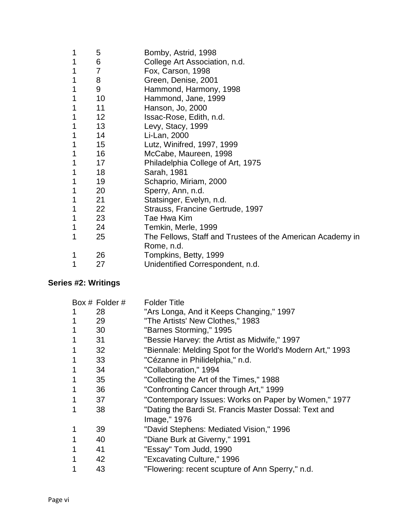| 1 | 5               | Bomby, Astrid, 1998                                        |
|---|-----------------|------------------------------------------------------------|
| 1 | 6               | College Art Association, n.d.                              |
| 1 | 7               | Fox, Carson, 1998                                          |
| 1 | 8               | Green, Denise, 2001                                        |
| 1 | 9               | Hammond, Harmony, 1998                                     |
| 1 | 10              | Hammond, Jane, 1999                                        |
| 1 | 11              | Hanson, Jo, 2000                                           |
| 1 | 12              | Issac-Rose, Edith, n.d.                                    |
| 1 | 13              | Levy, Stacy, 1999                                          |
| 1 | 14              | Li-Lan, 2000                                               |
| 1 | 15              | Lutz, Winifred, 1997, 1999                                 |
| 1 | 16              | McCabe, Maureen, 1998                                      |
| 1 | 17              | Philadelphia College of Art, 1975                          |
| 1 | 18              | Sarah, 1981                                                |
| 1 | 19              | Schaprio, Miriam, 2000                                     |
| 1 | 20              | Sperry, Ann, n.d.                                          |
| 1 | 21              | Statsinger, Evelyn, n.d.                                   |
| 1 | 22 <sub>2</sub> | Strauss, Francine Gertrude, 1997                           |
| 1 | 23              | Tae Hwa Kim                                                |
| 1 | 24              | Temkin, Merle, 1999                                        |
| 1 | 25              | The Fellows, Staff and Trustees of the American Academy in |
|   |                 | Rome, n.d.                                                 |
| 1 | 26              | Tompkins, Betty, 1999                                      |
| 1 | 27              | Unidentified Correspondent, n.d.                           |

## **Series #2: Writings**

|   | Box # Folder #  | <b>Folder Title</b>                                       |
|---|-----------------|-----------------------------------------------------------|
| 1 | 28              | "Ars Longa, And it Keeps Changing," 1997                  |
|   | 29              | "The Artists' New Clothes," 1983                          |
|   | 30              | "Barnes Storming," 1995                                   |
| 1 | 31              | "Bessie Harvey: the Artist as Midwife," 1997              |
| 1 | 32 <sup>2</sup> | "Biennale: Melding Spot for the World's Modern Art," 1993 |
| 1 | 33              | "Cézanne in Philidelphia," n.d.                           |
| 1 | 34              | "Collaboration," 1994                                     |
| 1 | 35              | "Collecting the Art of the Times," 1988                   |
| 1 | 36              | "Confronting Cancer through Art," 1999                    |
| 1 | 37              | "Contemporary Issues: Works on Paper by Women," 1977      |
| 1 | 38              | "Dating the Bardi St. Francis Master Dossal: Text and     |
|   |                 | Image," 1976                                              |
| 1 | 39              | "David Stephens: Mediated Vision," 1996                   |
| 1 | 40              | "Diane Burk at Giverny," 1991                             |
| 1 | 41              | "Essay" Tom Judd, 1990                                    |
| 1 | 42              | "Excavating Culture," 1996                                |
|   | 43              | "Flowering: recent scupture of Ann Sperry," n.d.          |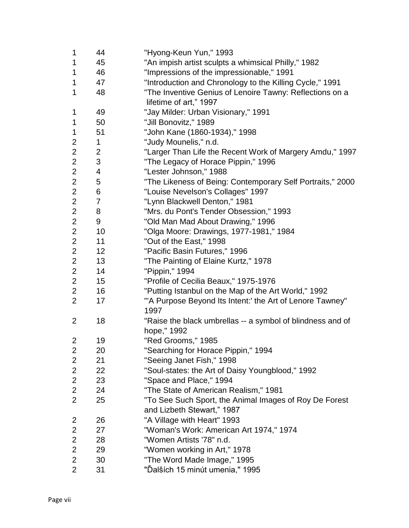| 1              | 44             | "Hyong-Keun Yun," 1993                                            |
|----------------|----------------|-------------------------------------------------------------------|
| 1              | 45             | "An impish artist sculpts a whimsical Philly," 1982               |
| 1              | 46             | "Impressions of the impressionable," 1991                         |
| 1              | 47             | "Introduction and Chronology to the Killing Cycle," 1991          |
| 1              | 48             | "The Inventive Genius of Lenoire Tawny: Reflections on a          |
|                |                | lifetime of art," 1997                                            |
| 1              | 49             | "Jay Milder: Urban Visionary," 1991                               |
| 1              | 50             | "Jill Bonovitz," 1989                                             |
| 1              | 51             | "John Kane (1860-1934)," 1998                                     |
| 2              | 1              | "Judy Mounelis," n.d.                                             |
| $\overline{2}$ | $\overline{c}$ | "Larger Than Life the Recent Work of Margery Amdu," 1997          |
| $\overline{2}$ | 3              | "The Legacy of Horace Pippin," 1996                               |
| $\overline{2}$ | 4              | "Lester Johnson," 1988                                            |
| $\overline{2}$ | 5              | "The Likeness of Being: Contemporary Self Portraits," 2000        |
| $\overline{2}$ | 6              | "Louise Nevelson's Collages" 1997                                 |
| $\overline{2}$ | $\overline{7}$ | "Lynn Blackwell Denton," 1981                                     |
| $\overline{2}$ | 8              | "Mrs. du Pont's Tender Obsession," 1993                           |
| $\overline{2}$ | 9              | "Old Man Mad About Drawing," 1996                                 |
| $\overline{2}$ | 10             | "Olga Moore: Drawings, 1977-1981," 1984                           |
| $\overline{2}$ | 11             | "Out of the East," 1998                                           |
| $\overline{2}$ | 12             | "Pacific Basin Futures," 1996                                     |
| $\overline{2}$ | 13             | "The Painting of Elaine Kurtz," 1978                              |
| $\overline{2}$ | 14             | "Pippin," 1994                                                    |
| $\overline{2}$ | 15             | "Profile of Cecilia Beaux," 1975-1976                             |
| $\overline{2}$ | 16             | "Putting Istanbul on the Map of the Art World," 1992              |
| $\overline{2}$ | 17             | "'A Purpose Beyond Its Intent:' the Art of Lenore Tawney"<br>1997 |
| $\overline{2}$ | 18             | "Raise the black umbrellas -- a symbol of blindness and of        |
|                |                | hope," 1992                                                       |
| $\overline{2}$ | 19             | "Red Grooms," 1985                                                |
| 2              | 20             | "Searching for Horace Pippin," 1994                               |
| $\overline{2}$ | 21             | "Seeing Janet Fish," 1998                                         |
| 2              | 22             | "Soul-states: the Art of Daisy Youngblood," 1992                  |
| $\overline{2}$ | 23             | "Space and Place," 1994                                           |
| 2              | 24             | "The State of American Realism," 1981                             |
| $\overline{2}$ | 25             | "To See Such Sport, the Animal Images of Roy De Forest            |
|                |                | and Lizbeth Stewart," 1987                                        |
| 2              | 26             | "A Village with Heart" 1993                                       |
| 2              | 27             | "Woman's Work: American Art 1974," 1974                           |
| 2              | 28             | "Women Artists '78" n.d.                                          |
| $\overline{2}$ | 29             | "Women working in Art," 1978                                      |
| $\overline{2}$ | 30             | "The Word Made Image," 1995                                       |
| $\overline{2}$ | 31             | "Ďalších 15 minút umenia," 1995                                   |
|                |                |                                                                   |